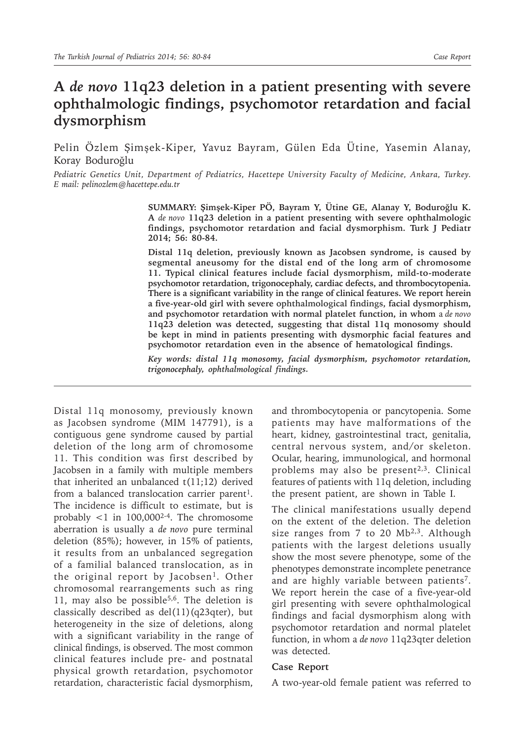## **A** *de novo* **11q23 deletion in a patient presenting with severe ophthalmologic findings, psychomotor retardation and facial dysmorphism**

Pelin Özlem Şimşek-Kiper, Yavuz Bayram, Gülen Eda Ütine, Yasemin Alanay, Koray Boduroğlu

*Pediatric Genetics Unit, Department of Pediatrics, Hacettepe University Faculty of Medicine, Ankara, Turkey. E mail: pelinozlem@hacettepe.edu.tr*

> **SUMMARY: Şimşek-Kiper PÖ, Bayram Y, Ütine GE, Alanay Y, Boduroğlu K. A** *de novo* **11q23 deletion in a patient presenting with severe ophthalmologic findings, psychomotor retardation and facial dysmorphism. Turk J Pediatr 2014; 56: 80-84.**

> **Distal 11q deletion, previously known as Jacobsen syndrome, is caused by segmental aneusomy for the distal end of the long arm of chromosome 11. Typical clinical features include facial dysmorphism, mild-to-moderate psychomotor retardation, trigonocephaly, cardiac defects, and thrombocytopenia. There is a significant variability in the range of clinical features. We report herein a five-year-old girl with severe ophthalmological findings, facial dysmorphism, and psychomotor retardation with normal platelet function, in whom** a *de novo* **11q23 deletion was detected, suggesting that distal 11q monosomy should be kept in mind in patients presenting with dysmorphic facial features and psychomotor retardation even in the absence of hematological findings.**

> *Key words: distal 11q monosomy, facial dysmorphism, psychomotor retardation, trigonocephaly, ophthalmological findings.*

Distal 11q monosomy, previously known as Jacobsen syndrome (MIM 147791), is a contiguous gene syndrome caused by partial deletion of the long arm of chromosome 11. This condition was first described by Jacobsen in a family with multiple members that inherited an unbalanced t(11;12) derived from a balanced translocation carrier parent<sup>1</sup>. The incidence is difficult to estimate, but is probably  $\langle 1 \rangle$  in 100,000<sup>2-4</sup>. The chromosome aberration is usually a *de novo* pure terminal deletion (85%); however, in 15% of patients, it results from an unbalanced segregation of a familial balanced translocation, as in the original report by Jacobsen<sup>1</sup>. Other chromosomal rearrangements such as ring 11, may also be possible<sup>5,6</sup>. The deletion is classically described as del(11)(q23qter), but heterogeneity in the size of deletions, along with a significant variability in the range of clinical findings, is observed. The most common clinical features include pre- and postnatal physical growth retardation, psychomotor retardation, characteristic facial dysmorphism,

and thrombocytopenia or pancytopenia. Some patients may have malformations of the heart, kidney, gastrointestinal tract, genitalia, central nervous system, and/or skeleton. Ocular, hearing, immunological, and hormonal problems may also be present<sup>2,3</sup>. Clinical features of patients with 11q deletion, including the present patient, are shown in Table I.

The clinical manifestations usually depend on the extent of the deletion. The deletion size ranges from 7 to 20 Mb<sup>2,3</sup>. Although patients with the largest deletions usually show the most severe phenotype, some of the phenotypes demonstrate incomplete penetrance and are highly variable between patients<sup>7</sup>. We report herein the case of a five-year-old girl presenting with severe ophthalmological findings and facial dysmorphism along with psychomotor retardation and normal platelet function, in whom a *de novo* 11q23qter deletion was detected.

## **Case Report**

A two-year-old female patient was referred to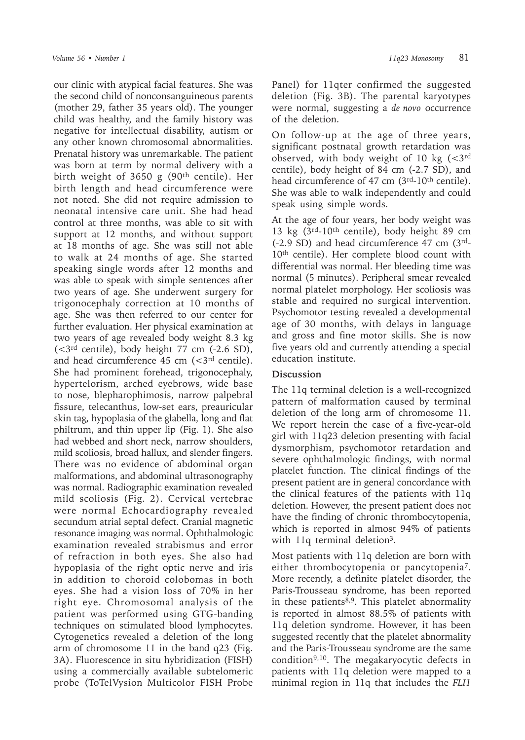our clinic with atypical facial features. She was the second child of nonconsanguineous parents (mother 29, father 35 years old). The younger child was healthy, and the family history was negative for intellectual disability, autism or any other known chromosomal abnormalities. Prenatal history was unremarkable. The patient was born at term by normal delivery with a birth weight of 3650 g  $(90<sup>th</sup>$  centile). Her birth length and head circumference were not noted. She did not require admission to neonatal intensive care unit. She had head control at three months, was able to sit with support at 12 months, and without support at 18 months of age. She was still not able to walk at 24 months of age. She started speaking single words after 12 months and was able to speak with simple sentences after two years of age. She underwent surgery for trigonocephaly correction at 10 months of age. She was then referred to our center for further evaluation. Her physical examination at two years of age revealed body weight 8.3 kg  $\left($  < 3<sup>rd</sup> centile), body height 77 cm  $\left($  -2.6 SD), and head circumference  $45 \text{ cm } (-3)^{rd}$  centile). She had prominent forehead, trigonocephaly, hypertelorism, arched eyebrows, wide base to nose, blepharophimosis, narrow palpebral fissure, telecanthus, low-set ears, preauricular skin tag, hypoplasia of the glabella, long and flat philtrum, and thin upper lip (Fig. 1). She also had webbed and short neck, narrow shoulders, mild scoliosis, broad hallux, and slender fingers. There was no evidence of abdominal organ malformations, and abdominal ultrasonography was normal. Radiographic examination revealed mild scoliosis (Fig. 2). Cervical vertebrae were normal Echocardiography revealed secundum atrial septal defect. Cranial magnetic resonance imaging was normal. Ophthalmologic examination revealed strabismus and error of refraction in both eyes. She also had hypoplasia of the right optic nerve and iris in addition to choroid colobomas in both eyes. She had a vision loss of 70% in her right eye. Chromosomal analysis of the patient was performed using GTG-banding techniques on stimulated blood lymphocytes. Cytogenetics revealed a deletion of the long arm of chromosome 11 in the band q23 (Fig. 3A). Fluorescence in situ hybridization (FISH) using a commercially available subtelomeric probe (ToTelVysion Multicolor FISH Probe

Panel) for 11qter confirmed the suggested deletion (Fig. 3B). The parental karyotypes were normal, suggesting a *de novo* occurrence of the deletion.

On follow-up at the age of three years, significant postnatal growth retardation was observed, with body weight of 10 kg  $\left( < \frac{3}{10} \right)$ centile), body height of 84 cm (-2.7 SD), and head circumference of 47 cm (3rd-10th centile). She was able to walk independently and could speak using simple words.

At the age of four years, her body weight was 13 kg (3rd-10th centile), body height 89 cm (-2.9 SD) and head circumference 47 cm (3rd-10th centile). Her complete blood count with differential was normal. Her bleeding time was normal (5 minutes). Peripheral smear revealed normal platelet morphology. Her scoliosis was stable and required no surgical intervention. Psychomotor testing revealed a developmental age of 30 months, with delays in language and gross and fine motor skills. She is now five years old and currently attending a special education institute.

## **Discussion**

The 11q terminal deletion is a well-recognized pattern of malformation caused by terminal deletion of the long arm of chromosome 11. We report herein the case of a five-year-old girl with 11q23 deletion presenting with facial dysmorphism, psychomotor retardation and severe ophthalmologic findings, with normal platelet function. The clinical findings of the present patient are in general concordance with the clinical features of the patients with 11q deletion. However, the present patient does not have the finding of chronic thrombocytopenia, which is reported in almost 94% of patients with 11q terminal deletion<sup>3</sup>.

Most patients with 11q deletion are born with either thrombocytopenia or pancytopenia7. More recently, a definite platelet disorder, the Paris-Trousseau syndrome, has been reported in these patients<sup>8,9</sup>. This platelet abnormality is reported in almost 88.5% of patients with 11q deletion syndrome. However, it has been suggested recently that the platelet abnormality and the Paris-Trousseau syndrome are the same condition9,10. The megakaryocytic defects in patients with 11q deletion were mapped to a minimal region in 11q that includes the *FLI1*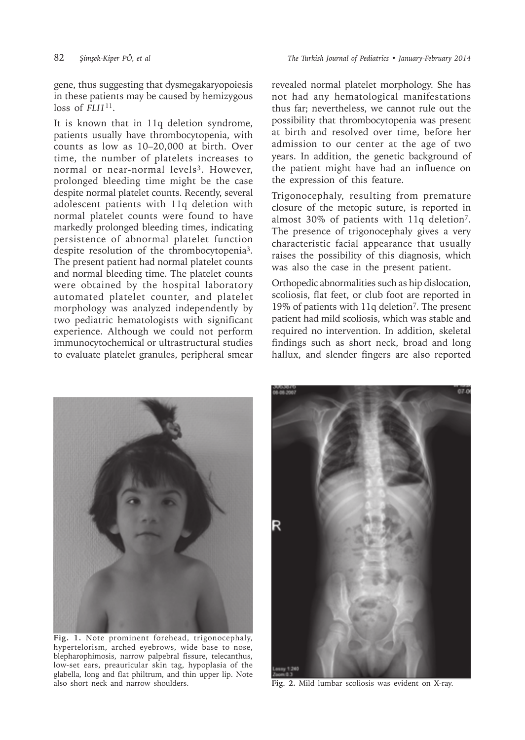82 *Şimşek-Kiper PÖ, et al The Turkish Journal of Pediatrics • January-February 2014*

gene, thus suggesting that dysmegakaryopoiesis in these patients may be caused by hemizygous loss of *FLI1*<sup>11</sup>.

It is known that in 11q deletion syndrome, patients usually have thrombocytopenia, with counts as low as 10–20,000 at birth. Over time, the number of platelets increases to normal or near-normal levels<sup>3</sup>. However, prolonged bleeding time might be the case despite normal platelet counts. Recently, several adolescent patients with 11q deletion with normal platelet counts were found to have markedly prolonged bleeding times, indicating persistence of abnormal platelet function despite resolution of the thrombocytopenia3. The present patient had normal platelet counts and normal bleeding time. The platelet counts were obtained by the hospital laboratory automated platelet counter, and platelet morphology was analyzed independently by two pediatric hematologists with significant experience. Although we could not perform immunocytochemical or ultrastructural studies to evaluate platelet granules, peripheral smear

revealed normal platelet morphology. She has not had any hematological manifestations thus far; nevertheless, we cannot rule out the possibility that thrombocytopenia was present at birth and resolved over time, before her admission to our center at the age of two years. In addition, the genetic background of the patient might have had an influence on the expression of this feature.

Trigonocephaly, resulting from premature closure of the metopic suture, is reported in almost 30% of patients with 11q deletion7. The presence of trigonocephaly gives a very characteristic facial appearance that usually raises the possibility of this diagnosis, which was also the case in the present patient.

Orthopedic abnormalities such as hip dislocation, scoliosis, flat feet, or club foot are reported in 19% of patients with 11q deletion<sup>7</sup>. The present patient had mild scoliosis, which was stable and required no intervention. In addition, skeletal findings such as short neck, broad and long hallux, and slender fingers are also reported



**Fig. 1.** Note prominent forehead, trigonocephaly, hypertelorism, arched eyebrows, wide base to nose, blepharophimosis, narrow palpebral fissure, telecanthus, low-set ears, preauricular skin tag, hypoplasia of the glabella, long and flat philtrum, and thin upper lip. Note also short neck and narrow shoulders. **Fig. 2.** Mild lumbar scoliosis was evident on X-ray.

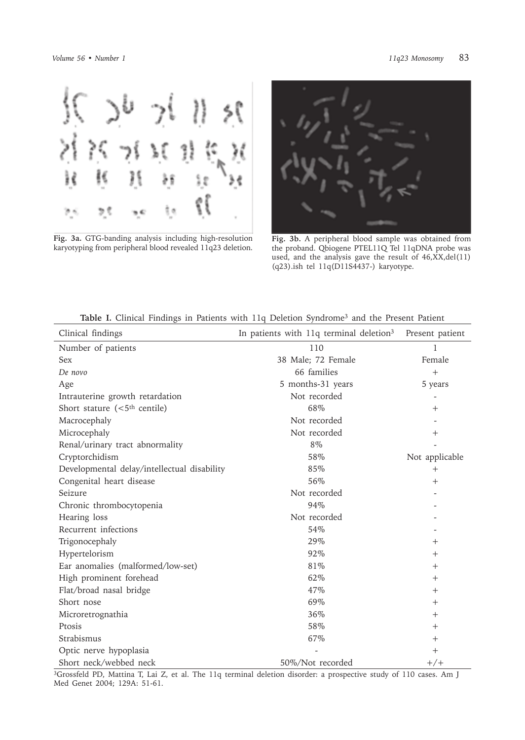

**Fig. 3a.** GTG-banding analysis including high-resolution karyotyping from peripheral blood revealed 11q23 deletion.



**Fig. 3b.** A peripheral blood sample was obtained from the proband. Qbiogene PTEL11Q Tel 11qDNA probe was used, and the analysis gave the result of 46,XX,del(11) (q23).ish tel 11q(D11S4437-) karyotype.

| <b>Table 1.</b> Chilical Findings in Patients with 114 Defetion syndrome <sup>s</sup> and the Present Patient |                                                     |                 |
|---------------------------------------------------------------------------------------------------------------|-----------------------------------------------------|-----------------|
| Clinical findings                                                                                             | In patients with 11q terminal deletion <sup>3</sup> | Present patient |
| Number of patients                                                                                            | 110                                                 | 1               |
| <b>Sex</b>                                                                                                    | 38 Male; 72 Female                                  | Female          |
| De novo                                                                                                       | 66 families                                         | $+$             |
| Age                                                                                                           | 5 months-31 years                                   | 5 years         |
| Intrauterine growth retardation                                                                               | Not recorded                                        |                 |
| Short stature $(<5th$ centile)                                                                                | 68%                                                 | $^{+}$          |
| Macrocephaly                                                                                                  | Not recorded                                        |                 |
| Microcephaly                                                                                                  | Not recorded                                        | $^{+}$          |
| Renal/urinary tract abnormality                                                                               | 8%                                                  |                 |
| Cryptorchidism                                                                                                | 58%                                                 | Not applicable  |
| Developmental delay/intellectual disability                                                                   | 85%                                                 | $^{+}$          |
| Congenital heart disease                                                                                      | 56%                                                 | $^+$            |
| Seizure                                                                                                       | Not recorded                                        |                 |
| Chronic thrombocytopenia                                                                                      | 94%                                                 |                 |
| Hearing loss                                                                                                  | Not recorded                                        |                 |
| Recurrent infections                                                                                          | 54%                                                 |                 |
| Trigonocephaly                                                                                                | 29%                                                 | $^{+}$          |
| Hypertelorism                                                                                                 | 92%                                                 | $^+$            |
| Ear anomalies (malformed/low-set)                                                                             | 81%                                                 | $^+$            |
| High prominent forehead                                                                                       | 62%                                                 | $^{+}$          |
| Flat/broad nasal bridge                                                                                       | 47%                                                 | $^{+}$          |
| Short nose                                                                                                    | 69%                                                 | $^+$            |
| Microretrognathia                                                                                             | 36%                                                 | $^{+}$          |
| Ptosis                                                                                                        | 58%                                                 | $^{+}$          |
| Strabismus                                                                                                    | 67%                                                 | $^{+}$          |
| Optic nerve hypoplasia                                                                                        |                                                     | $^{+}$          |
| Short neck/webbed neck                                                                                        | 50%/Not recorded                                    | $+/+$           |

**Table I.** Clinical Findings in Patients with 11q Deletion Syndrome3 and the Present Patient

<sup>3</sup>Grossfeld PD, Mattina T, Lai Z, et al. The 11q terminal deletion disorder: a prospective study of 110 cases. Am J Med Genet 2004; 129A: 51-61.